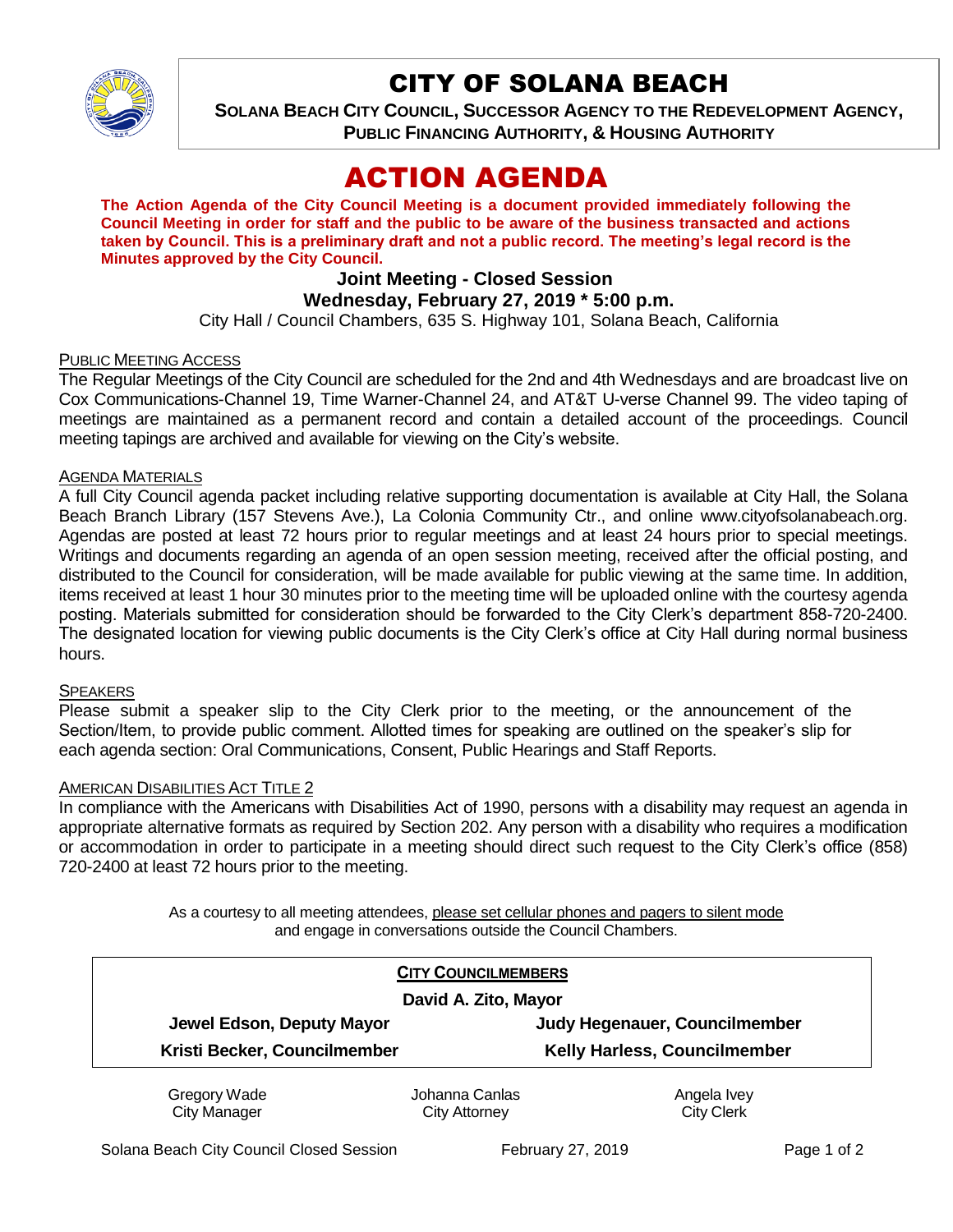

## CITY OF SOLANA BEACH

**SOLANA BEACH CITY COUNCIL, SUCCESSOR AGENCY TO THE REDEVELOPMENT AGENCY, PUBLIC FINANCING AUTHORITY, & HOUSING AUTHORITY** 

# ACTION AGENDA

**The Action Agenda of the City Council Meeting is a document provided immediately following the Council Meeting in order for staff and the public to be aware of the business transacted and actions taken by Council. This is a preliminary draft and not a public record. The meeting's legal record is the Minutes approved by the City Council.**

## **Joint Meeting - Closed Session**

### **Wednesday, February 27, 2019 \* 5:00 p.m.**

City Hall / Council Chambers, 635 S. Highway 101, Solana Beach, California

#### PUBLIC MEETING ACCESS

The Regular Meetings of the City Council are scheduled for the 2nd and 4th Wednesdays and are broadcast live on Cox Communications-Channel 19, Time Warner-Channel 24, and AT&T U-verse Channel 99. The video taping of meetings are maintained as a permanent record and contain a detailed account of the proceedings. Council meeting tapings are archived and available for viewing on the City's website.

#### AGENDA MATERIALS

A full City Council agenda packet including relative supporting documentation is available at City Hall, the Solana Beach Branch Library (157 Stevens Ave.), La Colonia Community Ctr., and online www.cityofsolanabeach.org. Agendas are posted at least 72 hours prior to regular meetings and at least 24 hours prior to special meetings. Writings and documents regarding an agenda of an open session meeting, received after the official posting, and distributed to the Council for consideration, will be made available for public viewing at the same time. In addition, items received at least 1 hour 30 minutes prior to the meeting time will be uploaded online with the courtesy agenda posting. Materials submitted for consideration should be forwarded to the City Clerk's department 858-720-2400. The designated location for viewing public documents is the City Clerk's office at City Hall during normal business hours.

#### SPEAKERS

Please submit a speaker slip to the City Clerk prior to the meeting, or the announcement of the Section/Item, to provide public comment. Allotted times for speaking are outlined on the speaker's slip for each agenda section: Oral Communications, Consent, Public Hearings and Staff Reports.

#### **AMERICAN DISABILITIES ACT TITLE 2**

In compliance with the Americans with Disabilities Act of 1990, persons with a disability may request an agenda in appropriate alternative formats as required by Section 202. Any person with a disability who requires a modification or accommodation in order to participate in a meeting should direct such request to the City Clerk's office (858) 720-2400 at least 72 hours prior to the meeting.

> As a courtesy to all meeting attendees, please set cellular phones and pagers to silent mode and engage in conversations outside the Council Chambers.

|                              | <b>CITY COUNCILMEMBERS</b> |                                      |
|------------------------------|----------------------------|--------------------------------------|
| David A. Zito, Mayor         |                            |                                      |
| Jewel Edson, Deputy Mayor    |                            | <b>Judy Hegenauer, Councilmember</b> |
| Kristi Becker, Councilmember |                            | <b>Kelly Harless, Councilmember</b>  |
| Gregory Wade                 | Johanna Canlas             | Angela Ivey                          |
| <b>City Manager</b>          | <b>City Attorney</b>       | <b>City Clerk</b>                    |